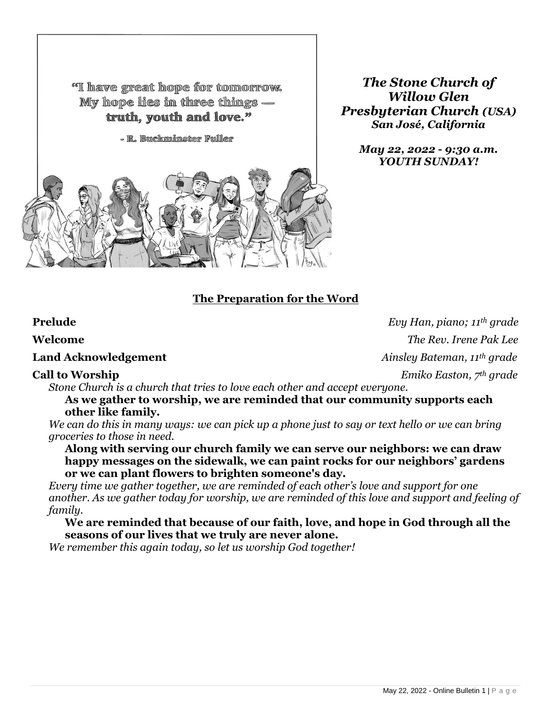"I have great hope for tomorrow. My hope lies in three things truth, youth and love."

- R. Buckminster Fuller



*The Stone Church of Willow Glen Presbyterian Church (USA) San José, California*

> *May 22, 2022 - 9:30 a.m. YOUTH SUNDAY!*

# **The Preparation for the Word**

**Prelude** *Evy Han, piano; 11th grade* **Welcome** *The Rev. Irene Pak Lee* **Land Acknowledgement** *Ainsley Bateman, 11th grade* **Call to Worship** *Emiko Easton, 7th grade*

*Stone Church is a church that tries to love each other and accept everyone.* 

**As we gather to worship, we are reminded that our community supports each other like family.** 

*We can do this in many ways: we can pick up a phone just to say or text hello or we can bring groceries to those in need.* 

**Along with serving our church family we can serve our neighbors: we can draw happy messages on the sidewalk, we can paint rocks for our neighbors' gardens or we can plant flowers to brighten someone's day.**

*Every time we gather together, we are reminded of each other's love and support for one another. As we gather today for worship, we are reminded of this love and support and feeling of family.*

**We are reminded that because of our faith, love, and hope in God through all the seasons of our lives that we truly are never alone.**

*We remember this again today, so let us worship God together!*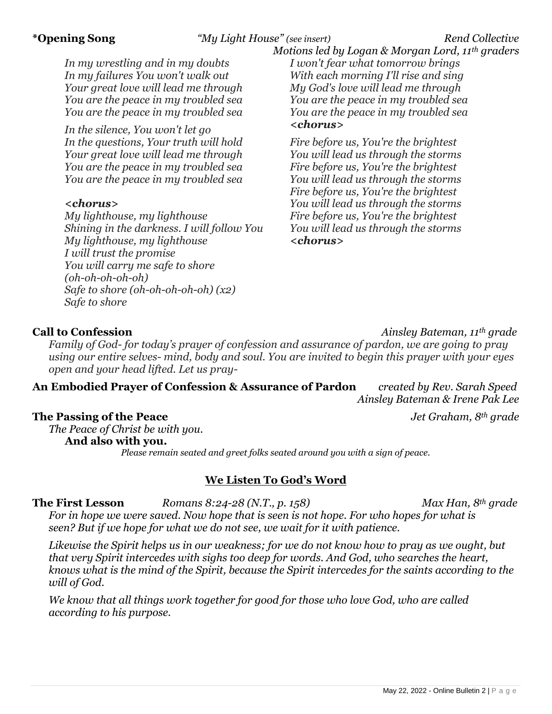# **\*Opening Song** *"My Light House" (see insert) Rend Collective*

*In my wrestling and in my doubts In my failures You won't walk out Your great love will lead me through You are the peace in my troubled sea You are the peace in my troubled sea*

*In the silence, You won't let go In the questions, Your truth will hold Your great love will lead me through You are the peace in my troubled sea You are the peace in my troubled sea*

### *<chorus>*

*My lighthouse, my lighthouse Shining in the darkness. I will follow You My lighthouse, my lighthouse I will trust the promise You will carry me safe to shore (oh-oh-oh-oh-oh) Safe to shore (oh-oh-oh-oh-oh) (x2) Safe to shore*

 *Motions led by Logan & Morgan Lord, 11th graders I won't fear what tomorrow brings With each morning I'll rise and sing My God's love will lead me through You are the peace in my troubled sea You are the peace in my troubled sea <chorus>*

*Fire before us, You're the brightest You will lead us through the storms Fire before us, You're the brightest You will lead us through the storms Fire before us, You're the brightest You will lead us through the storms Fire before us, You're the brightest You will lead us through the storms <chorus>*

**Call to Confession** *Ainsley Bateman, 11th grade*

*Family of God- for today's prayer of confession and assurance of pardon, we are going to pray using our entire selves- mind, body and soul. You are invited to begin this prayer with your eyes open and your head lifted. Let us pray-*

# **An Embodied Prayer of Confession & Assurance of Pardon** *created by Rev. Sarah Speed Ainsley Bateman & Irene Pak Lee*

**The Passing of the Peace** *Jet Graham, 8th grade*

*The Peace of Christ be with you.*

**And also with you.**

*Please remain seated and greet folks seated around you with a sign of peace.*

## **We Listen To God's Word**

**The First Lesson** *Romans 8:24-28 (N.T., p. 158) Max Han, 8th grade*

*For in hope we were saved. Now hope that is seen is not hope. For who hopes for what is seen? But if we hope for what we do not see, we wait for it with patience.*

*Likewise the Spirit helps us in our weakness; for we do not know how to pray as we ought, but that very Spirit intercedes with sighs too deep for words. And God, who searches the heart, knows what is the mind of the Spirit, because the Spirit intercedes for the saints according to the will of God.*

*We know that all things work together for good for those who love God, who are called according to his purpose.*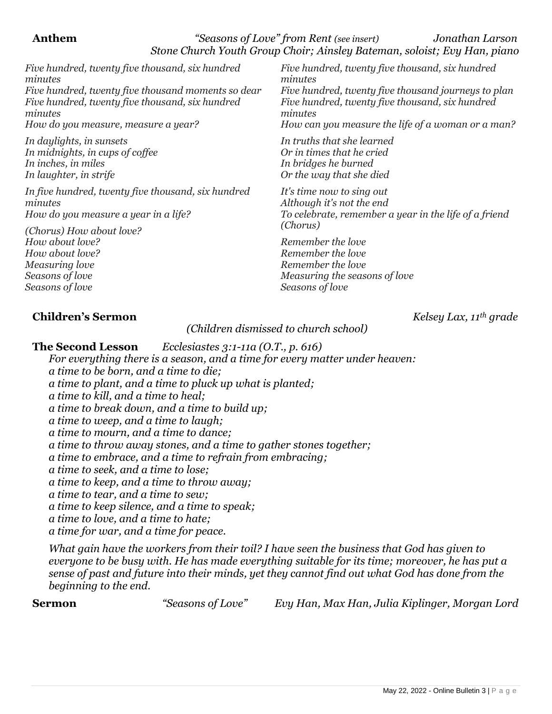### **Anthem** *"Seasons of Love" from Rent (see insert) Jonathan Larson Stone Church Youth Group Choir; Ainsley Bateman, soloist; Evy Han, piano*

*Five hundred, twenty five thousand, six hundred minutes Five hundred, twenty five thousand moments so dear Five hundred, twenty five thousand, six hundred minutes How do you measure, measure a year?*

*In daylights, in sunsets In midnights, in cups of coffee In inches, in miles In laughter, in strife*

*In five hundred, twenty five thousand, six hundred minutes How do you measure a year in a life?*

*(Chorus) How about love? How about love? How about love? Measuring love Seasons of love Seasons of love*

*Five hundred, twenty five thousand, six hundred minutes Five hundred, twenty five thousand journeys to plan Five hundred, twenty five thousand, six hundred minutes*

*How can you measure the life of a woman or a man?*

*In truths that she learned Or in times that he cried In bridges he burned Or the way that she died*

*It's time now to sing out Although it's not the end To celebrate, remember a year in the life of a friend (Chorus)*

*Remember the love Remember the love Remember the love Measuring the seasons of love Seasons of love*

# **Children's Sermon** *Kelsey Lax, 11th grade*

*(Children dismissed to church school)*

**The Second Lesson** *Ecclesiastes 3:1-11a (O.T., p. 616)*

*For everything there is a season, and a time for every matter under heaven: a time to be born, and a time to die; a time to plant, and a time to pluck up what is planted; a time to kill, and a time to heal; a time to break down, and a time to build up; a time to weep, and a time to laugh; a time to mourn, and a time to dance; a time to throw away stones, and a time to gather stones together; a time to embrace, and a time to refrain from embracing; a time to seek, and a time to lose; a time to keep, and a time to throw away; a time to tear, and a time to sew; a time to keep silence, and a time to speak; a time to love, and a time to hate; a time for war, and a time for peace.*

*What gain have the workers from their toil? I have seen the business that God has given to everyone to be busy with. He has made everything suitable for its time; moreover, he has put a sense of past and future into their minds, yet they cannot find out what God has done from the beginning to the end.*

**Sermon** *"Seasons of Love"**Evy Han, Max Han, Julia Kiplinger, Morgan Lord*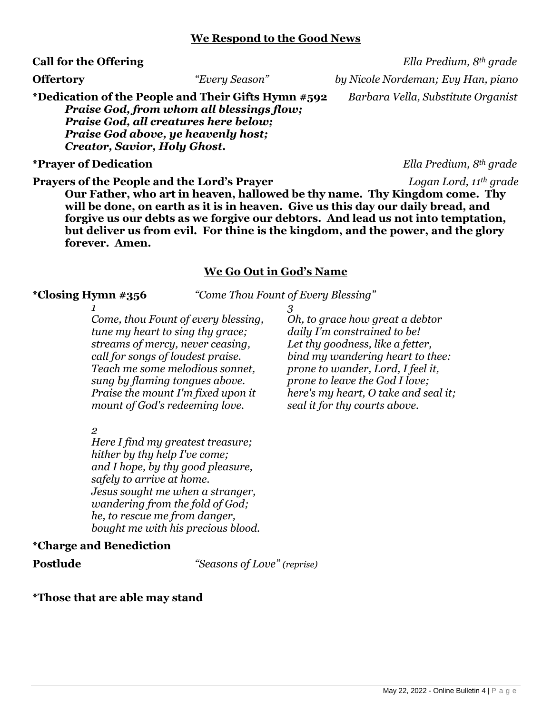### **We Respond to the Good News**

**\*Dedication of the People and Their Gifts Hymn #592** *Barbara Vella, Substitute Organist Praise God, from whom all blessings flow; Praise God, all creatures here below; Praise God above, ye heavenly host; Creator, Savior, Holy Ghost.*

### **\*Prayer of Dedication** *Ella Predium, 8th grade*

**Call for the Offering** *Ella Predium, 8th grade*  **Offertory** *"Every Season" by Nicole Nordeman; Evy Han, piano*

**Prayers of the People and the Lord's Prayer** *Logan Lord, 11th grade* **Our Father, who art in heaven, hallowed be thy name. Thy Kingdom come. Thy will be done, on earth as it is in heaven. Give us this day our daily bread, and forgive us our debts as we forgive our debtors. And lead us not into temptation, but deliver us from evil. For thine is the kingdom, and the power, and the glory forever. Amen.**

### **We Go Out in God's Name**

**\*Closing Hymn #356** *"Come Thou Fount of Every Blessing"*

*1 Come, thou Fount of every blessing, tune my heart to sing thy grace; streams of mercy, never ceasing, call for songs of loudest praise. Teach me some melodious sonnet, sung by flaming tongues above. Praise the mount I'm fixed upon it mount of God's redeeming love.*

*2* 

*Here I find my greatest treasure; hither by thy help I've come; and I hope, by thy good pleasure, safely to arrive at home. Jesus sought me when a stranger, wandering from the fold of God; he, to rescue me from danger, bought me with his precious blood.*

### **\*Charge and Benediction**

**Postlude** *"Seasons of Love" (reprise)*

### **\*Those that are able may stand**

*3 Oh, to grace how great a debtor daily I'm constrained to be! Let thy goodness, like a fetter, bind my wandering heart to thee: prone to wander, Lord, I feel it, prone to leave the God I love; here's my heart, O take and seal it; seal it for thy courts above.*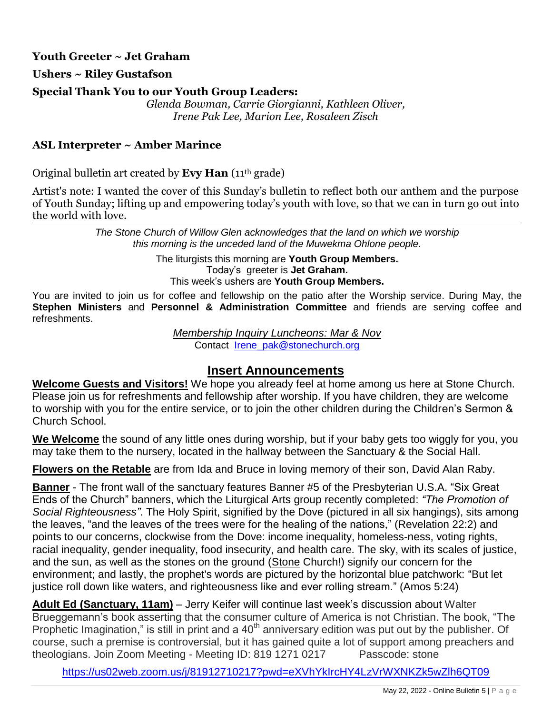# **Youth Greeter ~ Jet Graham**

**Ushers ~ Riley Gustafson**

## **Special Thank You to our Youth Group Leaders:**

*Glenda Bowman, Carrie Giorgianni, Kathleen Oliver, Irene Pak Lee, Marion Lee, Rosaleen Zisch*

# **ASL Interpreter ~ Amber Marince**

Original bulletin art created by **Evy Han** (11th grade)

Artist's note: I wanted the cover of this Sunday's bulletin to reflect both our anthem and the purpose of Youth Sunday; lifting up and empowering today's youth with love, so that we can in turn go out into the world with love.

> *The Stone Church of Willow Glen acknowledges that the land on which we worship this morning is the unceded land of the Muwekma Ohlone people.*

> > The liturgists this morning are **Youth Group Members.** Today's greeter is **Jet Graham.** This week's ushers are **Youth Group Members.**

You are invited to join us for coffee and fellowship on the patio after the Worship service. During May, the **Stephen Ministers** and **Personnel & Administration Committee** and friends are serving coffee and refreshments.

> *Membership Inquiry Luncheons: Mar & Nov* Contact [Irene\\_pak@stonechurch.org](mailto:Irene_pak@stonechurch.org)

# **Insert Announcements**

**Welcome Guests and Visitors!** We hope you already feel at home among us here at Stone Church. Please join us for refreshments and fellowship after worship. If you have children, they are welcome to worship with you for the entire service, or to join the other children during the Children's Sermon & Church School.

**We Welcome** the sound of any little ones during worship, but if your baby gets too wiggly for you, you may take them to the nursery, located in the hallway between the Sanctuary & the Social Hall.

**Flowers on the Retable** are from Ida and Bruce in loving memory of their son, David Alan Raby.

**Banner** - The front wall of the sanctuary features Banner #5 of the Presbyterian U.S.A. "Six Great Ends of the Church" banners, which the Liturgical Arts group recently completed: *"The Promotion of Social Righteousness"*. The Holy Spirit, signified by the Dove (pictured in all six hangings), sits among the leaves, "and the leaves of the trees were for the healing of the nations," (Revelation 22:2) and points to our concerns, clockwise from the Dove: income inequality, homeless-ness, voting rights, racial inequality, gender inequality, food insecurity, and health care. The sky, with its scales of justice, and the sun, as well as the stones on the ground (Stone Church!) signify our concern for the environment; and lastly, the prophet's words are pictured by the horizontal blue patchwork: "But let justice roll down like waters, and righteousness like and ever rolling stream." (Amos 5:24)

**Adult Ed (Sanctuary, 11am)** – Jerry Keifer will continue last week's discussion about Walter Brueggemann's book asserting that the consumer culture of America is not Christian. The book, "The Prophetic Imagination," is still in print and a  $40<sup>th</sup>$  anniversary edition was put out by the publisher. Of course, such a premise is controversial, but it has gained quite a lot of support among preachers and theologians. Join Zoom Meeting - Meeting ID: 819 1271 0217 Passcode: stone

<https://us02web.zoom.us/j/81912710217?pwd=eXVhYkIrcHY4LzVrWXNKZk5wZlh6QT09>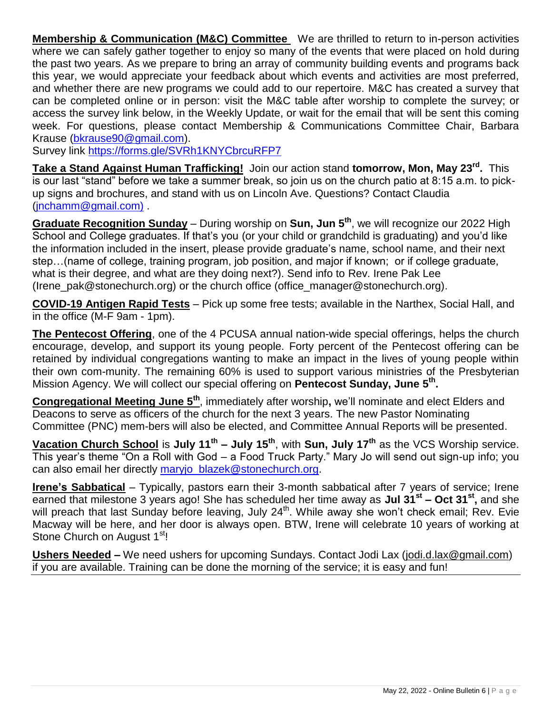**Membership & Communication (M&C) Committee** We are thrilled to return to in-person activities where we can safely gather together to enjoy so many of the events that were placed on hold during the past two years. As we prepare to bring an array of community building events and programs back this year, we would appreciate your feedback about which events and activities are most preferred, and whether there are new programs we could add to our repertoire. M&C has created a survey that can be completed online or in person: visit the M&C table after worship to complete the survey; or access the survey link below, in the Weekly Update, or wait for the email that will be sent this coming week. For questions, please contact Membership & Communications Committee Chair, Barbara Krause [\(bkrause90@gmail.com\)](mailto:bkrause90@gmail.com).

Survey link<https://forms.gle/SVRh1KNYCbrcuRFP7>

**Take a Stand Against Human Trafficking!** Join our action stand **tomorrow, Mon, May 23rd .** This is our last "stand" before we take a summer break, so join us on the church patio at 8:15 a.m. to pickup signs and brochures, and stand with us on Lincoln Ave. Questions? Contact Claudia [\(jnchamm@gmail.com\)](mailto:jnchamm@gmail.com) .

**Graduate Recognition Sunday** – During worship on **Sun, Jun 5 th** , we will recognize our 2022 High School and College graduates. If that's you (or your child or grandchild is graduating) and you'd like the information included in the insert, please provide graduate's name, school name, and their next step…(name of college, training program, job position, and major if known; or if college graduate, what is their degree, and what are they doing next?). Send info to Rev. Irene Pak Lee (Irene\_pak@stonechurch.org) or the church office (office\_manager@stonechurch.org).

**COVID-19 Antigen Rapid Tests** – Pick up some free tests; available in the Narthex, Social Hall, and in the office (M-F 9am - 1pm).

**The Pentecost Offering**, one of the 4 PCUSA annual nation-wide special offerings, helps the church encourage, develop, and support its young people. Forty percent of the Pentecost offering can be retained by individual congregations wanting to make an impact in the lives of young people within their own com-munity. The remaining 60% is used to support various ministries of the Presbyterian Mission Agency. We will collect our special offering on Pentecost Sunday, June 5<sup>th</sup>.

**Congregational Meeting June 5th** , immediately after worship**,** we'll nominate and elect Elders and Deacons to serve as officers of the church for the next 3 years. The new Pastor Nominating Committee (PNC) mem-bers will also be elected, and Committee Annual Reports will be presented.

**Vacation Church School** is **July 11th – July 15th**, with **Sun, July 17 th** as the VCS Worship service. This year's theme "On a Roll with God – a Food Truck Party." Mary Jo will send out sign-up info; you can also email her directly [maryjo\\_blazek@stonechurch.org.](mailto:maryjo_blazek@stonechurch.org)

**Irene's Sabbatical** – Typically, pastors earn their 3-month sabbatical after 7 years of service; Irene earned that milestone 3 years ago! She has scheduled her time away as **Jul 31st – Oct 31st ,** and she will preach that last Sunday before leaving, July 24<sup>th</sup>. While away she won't check email; Rev. Evie Macway will be here, and her door is always open. BTW, Irene will celebrate 10 years of working at Stone Church on August 1<sup>st</sup>!

**Ushers Needed** – We need ushers for upcoming Sundays. Contact Jodi Lax [\(jodi.d.lax@gmail.com\)](mailto:jodi.d.lax@gmail.com) if you are available. Training can be done the morning of the service; it is easy and fun!